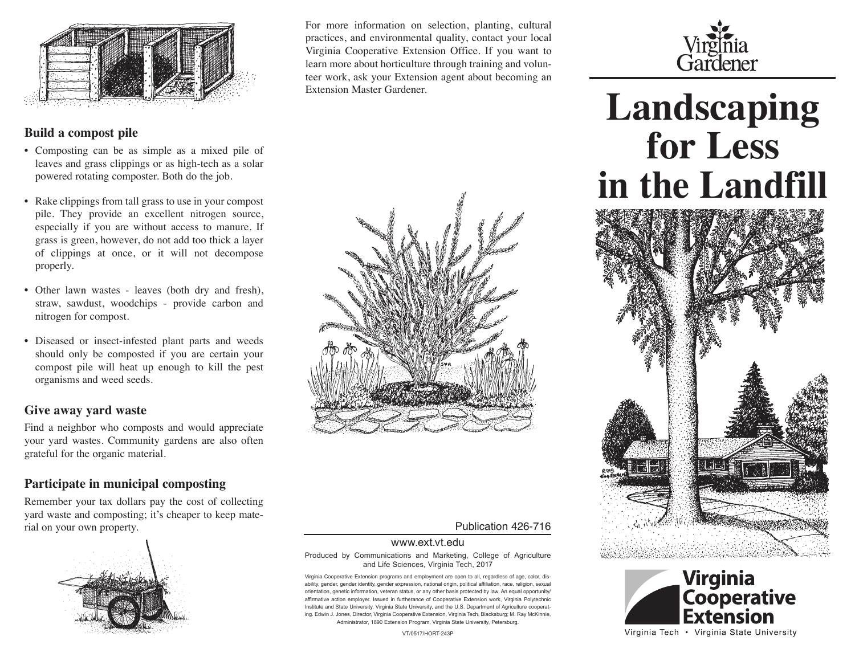

#### **Build a compost pile**

- Composting can be as simple as a mixed pile of leaves and grass clippings or as high-tech as a solar powered rotating composter. Both do the job.
- Rake clippings from tall grass to use in your compost pile. They provide an excellent nitrogen source, especially if you are without access to manure. If grass is green, however, do not add too thick a layer of clippings at once, or it will not decompose properly.
- Other lawn wastes leaves (both dry and fresh), straw, sawdust, woodchips - provide carbon and nitrogen for compost.
- Diseased or insect-infested plant parts and weeds should only be composted if you are certain your compost pile will heat up enough to kill the pest organisms and weed seeds.

#### **Give away yard waste**

Find a neighbor who composts and would appreciate your yard wastes. Community gardens are also often grateful for the organic material.

#### **Participate in municipal composting**

Remember your tax dollars pay the cost of collecting yard waste and composting; it's cheaper to keep material on your own property. Publication 426-716



For more information on selection, planting, cultural practices, and environmental quality, contact your local Virginia Cooperative Extension Office. If you want to learn more about horticulture through training and volunteer work, ask your Extension agent about becoming an Extension Master Gardener.



# Virginia<br>Gardener

## **Landscaping for Less in the Landfill**





Produced by Communications and Marketing, College of Agriculture

and Life Sciences, Virginia Tech, 2017

www.ext.vt.edu

Virginia Cooperative Extension programs and employment are open to all, regardless of age, color, disability, gender, gender identity, gender expression, national origin, political affiliation, race, religion, sexual orientation, genetic information, veteran status, or any other basis protected by law. An equal opportunity/ affirmative action employer. Issued in furtherance of Cooperative Extension work, Virginia Polytechnic Institute and State University, Virginia State University, and the U.S. Department of Agriculture cooperating. Edwin J. Jones, Director, Virginia Cooperative Extension, Virginia Tech, Blacksburg; M. Ray McKinnie, Administrator, 1890 Extension Program, Virginia State University, Petersburg.

VT/0517/HORT-243P